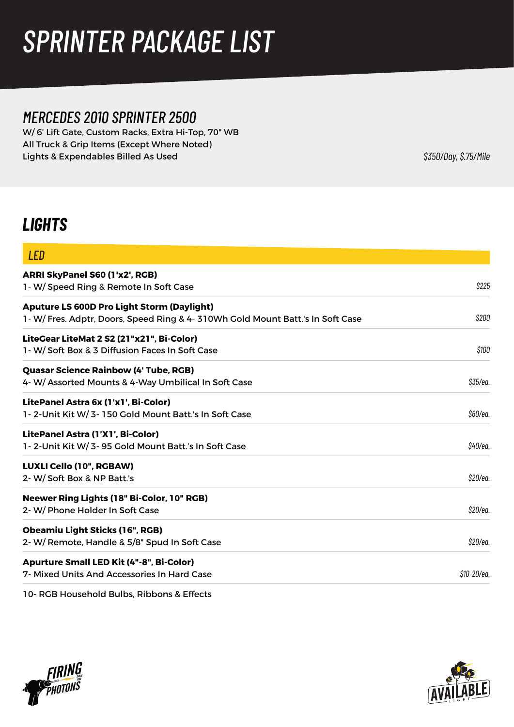# *SPRINTER PACKAGE LIST*

### *MERCEDES 2010 SPRINTER 2500*

W/ 6' Lift Gate, Custom Racks, Extra Hi-Top, 70" WB All Truck & Grip Items (Except Where Noted) Lights & Expendables Billed As Used<br>  $$350/Day, $.75/Mile$ 

### *LIGHTS*

| <b>LED</b>                                                                        |             |
|-----------------------------------------------------------------------------------|-------------|
| ARRI SkyPanel S60 (1'x2', RGB)                                                    |             |
| 1- W/ Speed Ring & Remote In Soft Case                                            | \$225       |
| <b>Aputure LS 600D Pro Light Storm (Daylight)</b>                                 |             |
| 1 - W/ Fres. Adptr, Doors, Speed Ring & 4 - 310Wh Gold Mount Batt.'s In Soft Case | \$200       |
| LiteGear LiteMat 2 S2 (21"x21", Bi-Color)                                         |             |
| 1- W/ Soft Box & 3 Diffusion Faces In Soft Case                                   | \$100       |
| <b>Quasar Science Rainbow (4' Tube, RGB)</b>                                      |             |
| 4- W/ Assorted Mounts & 4-Way Umbilical In Soft Case                              | \$35/ea.    |
| LitePanel Astra 6x (1'x1', Bi-Color)                                              |             |
| 1-2-Unit Kit W/3-150 Gold Mount Batt.'s In Soft Case                              | \$60/ea.    |
| LitePanel Astra (1'X1', Bi-Color)                                                 |             |
| 1-2-Unit Kit W/3-95 Gold Mount Batt.'s In Soft Case                               | \$40/ea.    |
| LUXLI Cello (10", RGBAW)                                                          |             |
| 2- W/Soft Box & NP Batt.'s                                                        | \$20/ea.    |
| Neewer Ring Lights (18" Bi-Color, 10" RGB)                                        |             |
| 2- W/ Phone Holder In Soft Case                                                   | \$20/ea.    |
| <b>Obeamiu Light Sticks (16", RGB)</b>                                            |             |
| 2- W/ Remote, Handle & 5/8" Spud In Soft Case                                     | \$20/ea.    |
| <b>Apurture Small LED Kit (4"-8", Bi-Color)</b>                                   |             |
| 7- Mixed Units And Accessories In Hard Case                                       | \$10-20/ea. |

10- RGB Household Bulbs, Ribbons & Effects



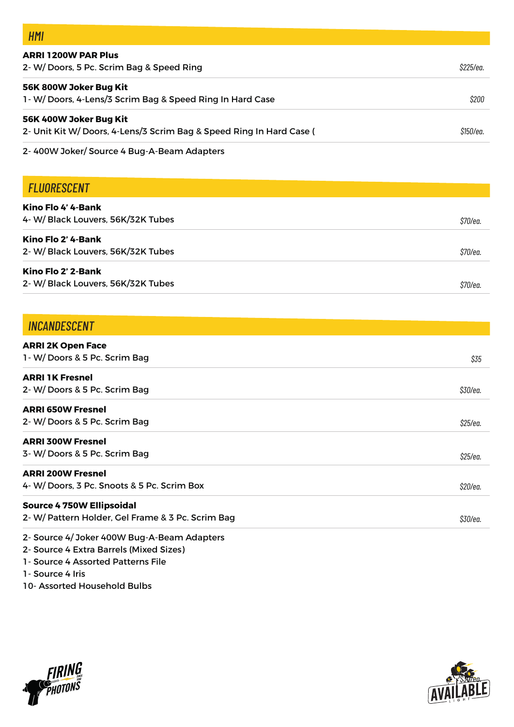| HMI                                                                                            |           |
|------------------------------------------------------------------------------------------------|-----------|
| <b>ARRI 1200W PAR Plus</b><br>2- W/ Doors, 5 Pc. Scrim Bag & Speed Ring                        | \$225/ea. |
| 56K 800W Joker Bug Kit<br>1- W/Doors, 4-Lens/3 Scrim Bag & Speed Ring In Hard Case             | \$200     |
| 56K 400W Joker Bug Kit<br>2- Unit Kit W/ Doors, 4-Lens/3 Scrim Bag & Speed Ring In Hard Case ( | \$150/ea. |

2- 400W Joker/ Source 4 Bug-A-Beam Adapters

#### *FLUORESCENT* **Kino Flo 4' 4-Bank**  4- W/ Black Louvers, 56K/32K Tubes **Kino Flo 2' 4-Bank**  2- W/ Black Louvers, 56K/32K Tubes **Kino Flo 2' 2-Bank**  2- W/ Black Louvers, 56K/32K Tubes *\$70/ea. \$70/ea. \$70/ea.*

| <b>INCANDESCENT</b>                                                                   |                |
|---------------------------------------------------------------------------------------|----------------|
| <b>ARRI 2K Open Face</b><br>1 - W/ Doors & 5 Pc. Scrim Bag                            | \$35           |
| <b>ARRI 1K Fresnel</b><br>2- W/Doors & 5 Pc. Scrim Bag                                | \$30/ea.       |
| <b>ARRI 650W Fresnel</b><br>2- W/Doors & 5 Pc. Scrim Bag                              | \$25/ea.       |
| <b>ARRI 300W Fresnel</b><br>3-W/Doors & 5 Pc. Scrim Bag                               | \$25/ea.       |
| <b>ARRI 200W Fresnel</b><br>4- W/Doors, 3 Pc. Snoots & 5 Pc. Scrim Box                | \$20/ea.       |
| <b>Source 4 750W Ellipsoidal</b><br>2- W/ Pattern Holder, Gel Frame & 3 Pc. Scrim Bag | <i>S30/ea.</i> |
| 2- Source 4/ Joker 400W Bug-A-Beam Adapters                                           |                |

2- Source 4 Extra Barrels (Mixed Sizes)

1- Source 4 Assorted Patterns File

1- Source 4 Iris

10- Assorted Household Bulbs



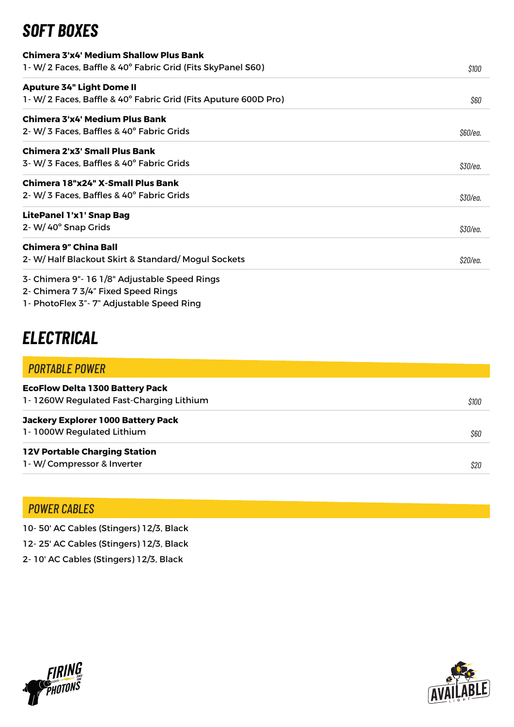### *SOFT BOXES*

| Chimera 3'x4' Medium Shallow Plus Bank                          |          |
|-----------------------------------------------------------------|----------|
| 1 - W/ 2 Faces, Baffle & 40° Fabric Grid (Fits SkyPanel S60)    | \$100    |
| <b>Aputure 34" Light Dome II</b>                                |          |
| 1 - W/2 Faces, Baffle & 40° Fabric Grid (Fits Aputure 600D Pro) | \$60     |
| Chimera 3'x4' Medium Plus Bank                                  |          |
| 2-W/3 Faces, Baffles & 40° Fabric Grids                         | \$60/ea. |
| Chimera 2'x3' Small Plus Bank                                   |          |
| 3-W/3 Faces, Baffles & 40° Fabric Grids                         | \$30/ea. |
| Chimera 18"x24" X-Small Plus Bank                               |          |
| 2- W/ 3 Faces, Baffles & 40° Fabric Grids                       | \$30/ea. |
| <b>LitePanel 1'x1' Snap Bag</b>                                 |          |
| 2- W/40° Snap Grids                                             | \$30/ea. |
| <b>Chimera 9" China Ball</b>                                    |          |
| 2- W/Half Blackout Skirt & Standard/Mogul Sockets               | \$20/ea. |
| 3- Chimera 9"- 16 1/8" Adjustable Speed Rings                   |          |
| 2- Chimera 7 3/4" Fixed Speed Rings                             |          |

1- PhotoFlex 3"- 7" Adjustable Speed Ring

## *ELECTRICAL*

| <b>PORTABLE POWER</b>                                                             |       |
|-----------------------------------------------------------------------------------|-------|
| <b>EcoFlow Delta 1300 Battery Pack</b><br>1-1260W Regulated Fast-Charging Lithium | \$100 |
| <b>Jackery Explorer 1000 Battery Pack</b>                                         |       |
| 1-1000W Regulated Lithium                                                         | \$60  |
| <b>12V Portable Charging Station</b>                                              |       |
| 1-W/Compressor & Inverter                                                         | \$20  |

### *POWER CABLES*

10- 50' AC Cables (Stingers) 12/3, Black

- 12- 25' AC Cables (Stingers) 12/3, Black
- 2- 10' AC Cables (Stingers) 12/3, Black



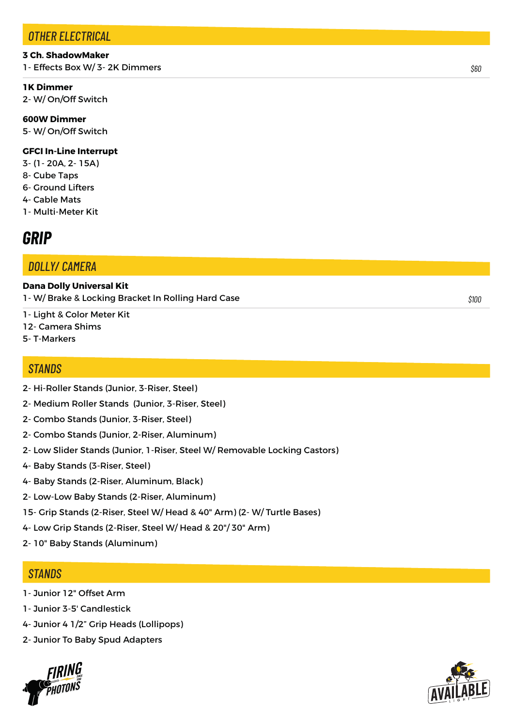#### *OTHER ELECTRICAL*

#### **3 Ch. ShadowMaker**

1- Effects Box W/ 3- 2K Dimmers

#### **1K Dimmer**

2- W/ On/Off Switch

**600W Dimmer**  5- W/ On/Off Switch

#### **GFCI In-Line Interrupt**

- 3- (1- 20A, 2- 15A)
- 8- Cube Taps
- 6- Ground Lifters
- 4- Cable Mats
- 1- Multi-Meter Kit

### *GRIP*

#### *DOLLY/ CAMERA*

**Dana Dolly Universal Kit**  1- W/ Brake & Locking Bracket In Rolling Hard Case

- 1- Light & Color Meter Kit 12- Camera Shims
- 5- T-Markers

#### *STANDS*

- 2- Hi-Roller Stands (Junior, 3-Riser, Steel)
- 2- Medium Roller Stands (Junior, 3-Riser, Steel)
- 2- Combo Stands (Junior, 3-Riser, Steel)
- 2- Combo Stands (Junior, 2-Riser, Aluminum)
- 2- Low Slider Stands (Junior, 1-Riser, Steel W/ Removable Locking Castors)
- 4- Baby Stands (3-Riser, Steel)
- 4- Baby Stands (2-Riser, Aluminum, Black)
- 2- Low-Low Baby Stands (2-Riser, Aluminum)
- 15- Grip Stands (2-Riser, Steel W/ Head & 40" Arm) (2- W/ Turtle Bases)
- 4- Low Grip Stands (2-Riser, Steel W/ Head & 20"/ 30" Arm)
- 2- 10" Baby Stands (Aluminum)

#### *STANDS*

- 1- Junior 12" Offset Arm
- 1- Junior 3-5' Candlestick
- 4- Junior 4 1/2" Grip Heads (Lollipops)
- 2- Junior To Baby Spud Adapters





*\$60*

*\$100*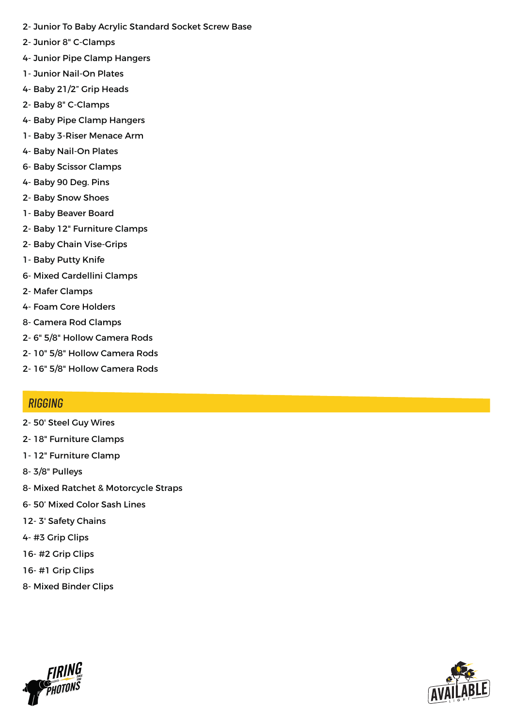- 2- Junior To Baby Acrylic Standard Socket Screw Base
- 2- Junior 8" C-Clamps
- 4- Junior Pipe Clamp Hangers
- 1- Junior Nail-On Plates
- 4- Baby 21/2" Grip Heads
- 2- Baby 8" C-Clamps
- 4- Baby Pipe Clamp Hangers
- 1- Baby 3-Riser Menace Arm
- 4- Baby Nail-On Plates
- 6- Baby Scissor Clamps
- 4- Baby 90 Deg. Pins
- 2- Baby Snow Shoes
- 1- Baby Beaver Board
- 2- Baby 12" Furniture Clamps
- 2- Baby Chain Vise-Grips
- 1- Baby Putty Knife
- 6- Mixed Cardellini Clamps
- 2- Mafer Clamps
- 4- Foam Core Holders
- 8- Camera Rod Clamps
- 2- 6" 5/8" Hollow Camera Rods
- 2- 10" 5/8" Hollow Camera Rods
- 2- 16" 5/8" Hollow Camera Rods

#### *STANDS RIGGING*

- 2- 50' Steel Guy Wires
- 2- 18" Furniture Clamps
- 1- 12" Furniture Clamp
- 8- 3/8" Pulleys
- 8- Mixed Ratchet & Motorcycle Straps
- 6- 50' Mixed Color Sash Lines
- 12- 3' Safety Chains
- 4- #3 Grip Clips
- 16- #2 Grip Clips
- 16- #1 Grip Clips
- 8- Mixed Binder Clips



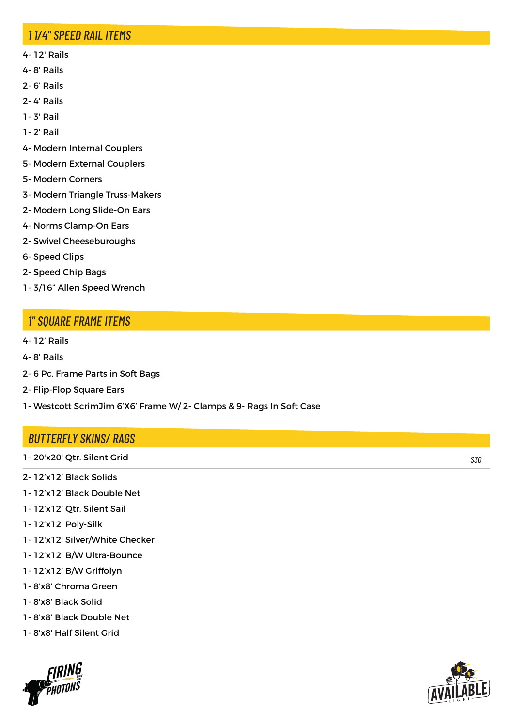#### *STANDS 1 1/4" SPEED RAIL ITEMS*

- 4- 12' Rails
- 4- 8' Rails
- 2- 6' Rails
- 2- 4' Rails
- 1- 3' Rail
- 1- 2' Rail
- 4- Modern Internal Couplers
- 5- Modern External Couplers
- 5- Modern Corners
- 3- Modern Triangle Truss-Makers
- 2- Modern Long Slide-On Ears
- 4- Norms Clamp-On Ears
- 2- Swivel Cheeseburoughs
- 6- Speed Clips
- 2- Speed Chip Bags
- 1- 3/16" Allen Speed Wrench

#### *STANDS 1" SQUARE FRAME ITEMS*

- 4- 12' Rails
- 4- 8' Rails
- 2- 6 Pc. Frame Parts in Soft Bags
- 2- Flip-Flop Square Ears
- 1- Westcott ScrimJim 6'X6' Frame W/ 2- Clamps & 9- Rags In Soft Case

#### *STANDS BUTTERFLY SKINS/ RAGS*

- 1- 20'x20' Qtr. Silent Grid
- 2- 12'x12' Black Solids
- 1- 12'x12' Black Double Net
- 1- 12'x12' Qtr. Silent Sail
- 1- 12'x12' Poly-Silk
- 1- 12'x12' Silver/White Checker
- 1- 12'x12' B/W Ultra-Bounce
- 1- 12'x12' B/W Griffolyn
- 1- 8'x8' Chroma Green
- 1- 8'x8' Black Solid
- 1- 8'x8' Black Double Net
- 1- 8'x8' Half Silent Grid





*\$30*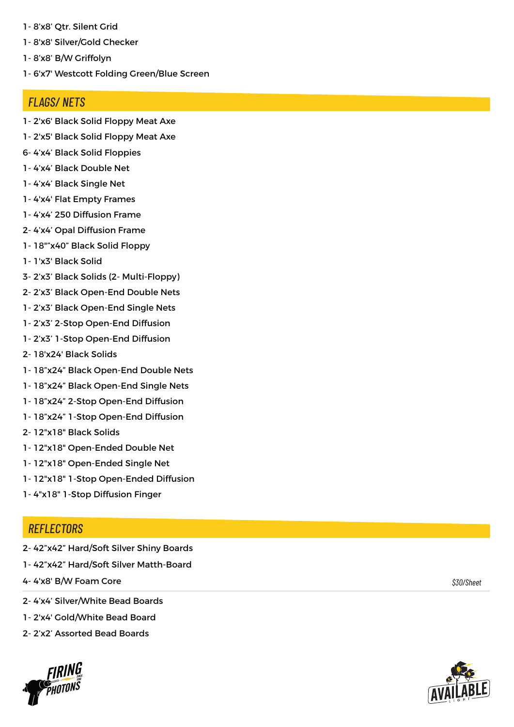- 1- 8'x8' Qtr. Silent Grid
- 1- 8'x8' Silver/Gold Checker
- 1- 8'x8' B/W Griffolyn
- 1- 6'x7' Westcott Folding Green/Blue Screen

#### *STANDS FLAGS/ NETS*

- 1- 2'x6' Black Solid Floppy Meat Axe
- 1- 2'x5' Black Solid Floppy Meat Axe
- 6- 4'x4' Black Solid Floppies
- 1- 4'x4' Black Double Net
- 1- 4'x4' Black Single Net
- 1- 4'x4' Flat Empty Frames
- 1- 4'x4' 250 Diffusion Frame
- 2- 4'x4' Opal Diffusion Frame
- 1- 18""x40" Black Solid Floppy
- 1- 1'x3' Black Solid
- 3- 2'x3' Black Solids (2- Multi-Floppy)
- 2- 2'x3' Black Open-End Double Nets
- 1- 2'x3' Black Open-End Single Nets
- 1- 2'x3' 2-Stop Open-End Diffusion
- 1- 2'x3' 1-Stop Open-End Diffusion
- 2- 18'x24' Black Solids
- 1- 18"x24" Black Open-End Double Nets
- 1- 18"x24" Black Open-End Single Nets
- 1- 18"x24" 2-Stop Open-End Diffusion
- 1- 18"x24" 1-Stop Open-End Diffusion
- 2- 12"x18" Black Solids
- 1- 12"x18" Open-Ended Double Net
- 1- 12"x18" Open-Ended Single Net
- 1- 12"x18" 1-Stop Open-Ended Diffusion
- 1- 4"x18" 1-Stop Diffusion Finger

#### *STANDS REFLECTORS*

- 2- 42"x42" Hard/Soft Silver Shiny Boards
- 1- 42"x42" Hard/Soft Silver Matth-Board
- 4- 4'x8' B/W Foam Core

*\$30/Sheet*

- 2- 4'x4' Silver/White Bead Boards
- 1- 2'x4' Gold/White Bead Board
- 2- 2'x2' Assorted Bead Boards



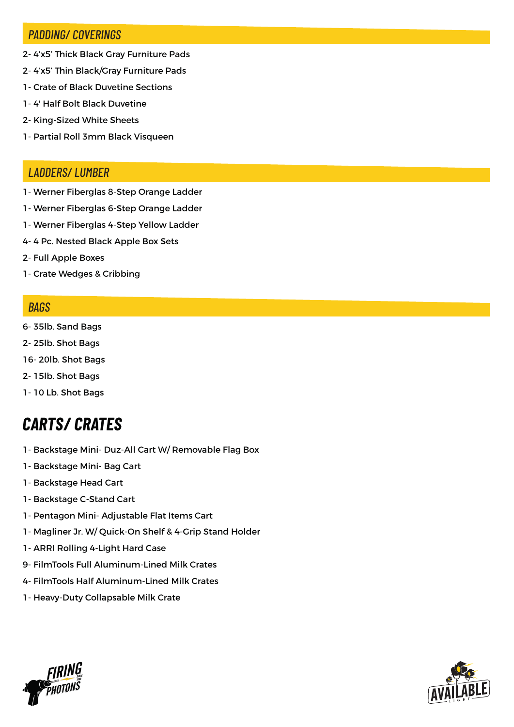#### *PADDING/ COVERINGS*

- 2- 4'x5' Thick Black Gray Furniture Pads
- 2- 4'x5' Thin Black/Gray Furniture Pads
- 1- Crate of Black Duvetine Sections
- 1- 4' Half Bolt Black Duvetine
- 2- King-Sized White Sheets
- 1- Partial Roll 3mm Black Visqueen

#### *LADDERS/ LUMBER*

- 1- Werner Fiberglas 8-Step Orange Ladder
- 1- Werner Fiberglas 6-Step Orange Ladder
- 1- Werner Fiberglas 4-Step Yellow Ladder
- 4- 4 Pc. Nested Black Apple Box Sets
- 2- Full Apple Boxes
- 1- Crate Wedges & Cribbing

#### *BAGS*

- 6- 35lb. Sand Bags
- 2- 25lb. Shot Bags
- 16- 20lb. Shot Bags
- 2- 15lb. Shot Bags
- 1- 10 Lb. Shot Bags

## *CARTS/ CRATES*

- 1- Backstage Mini- Duz-All Cart W/ Removable Flag Box
- 1- Backstage Mini- Bag Cart
- 1- Backstage Head Cart
- 1- Backstage C-Stand Cart
- 1- Pentagon Mini- Adjustable Flat Items Cart
- 1- Magliner Jr. W/ Quick-On Shelf & 4-Grip Stand Holder
- 1- ARRI Rolling 4-Light Hard Case
- 9- FilmTools Full Aluminum-Lined Milk Crates
- 4- FilmTools Half Aluminum-Lined Milk Crates
- 1- Heavy-Duty Collapsable Milk Crate



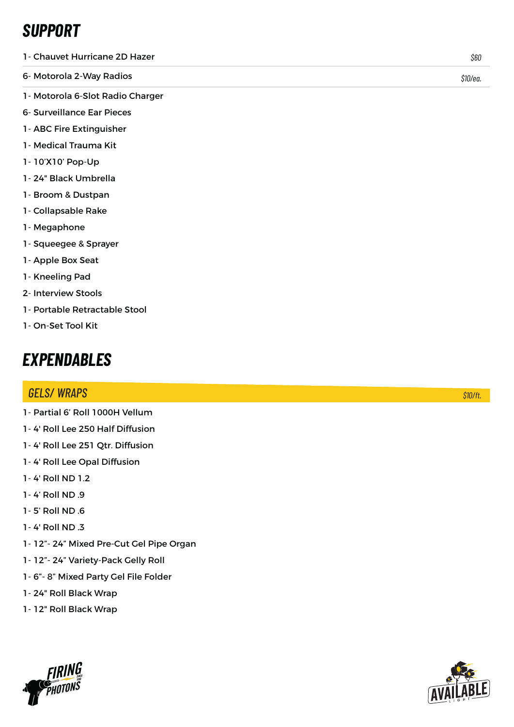## *SUPPORT*

- 1- Chauvet Hurricane 2D Hazer
- 6- Motorola 2-Way Radios
- 1- Motorola 6-Slot Radio Charger
- 6- Surveillance Ear Pieces
- 1- ABC Fire Extinguisher
- 1- Medical Trauma Kit
- 1- 10'X10' Pop-Up
- 1- 24" Black Umbrella
- 1- Broom & Dustpan
- 1- Collapsable Rake
- 1- Megaphone
- 1- Squeegee & Sprayer
- 1- Apple Box Seat
- 1- Kneeling Pad
- 2- Interview Stools
- 1- Portable Retractable Stool
- 1- On-Set Tool Kit

### *EXPENDABLES*

#### *STANDS GELS/ WRAPS \$6- \$20/ea. \$10/ft.*

- 1- Partial 6' Roll 1000H Vellum
- 1- 4' Roll Lee 250 Half Diffusion
- 1- 4' Roll Lee 251 Qtr. Diffusion
- 1- 4' Roll Lee Opal Diffusion
- 1- 4' Roll ND 1.2
- 1- 4' Roll ND .9
- 1- 5' Roll ND .6
- 1- 4' Roll ND .3
- 1- 12"- 24" Mixed Pre-Cut Gel Pipe Organ
- 1- 12"- 24" Variety-Pack Gelly Roll
- 1- 6"- 8" Mixed Party Gel File Folder
- 1- 24" Roll Black Wrap
- 1- 12" Roll Black Wrap





*\$60*

*\$10/ea.*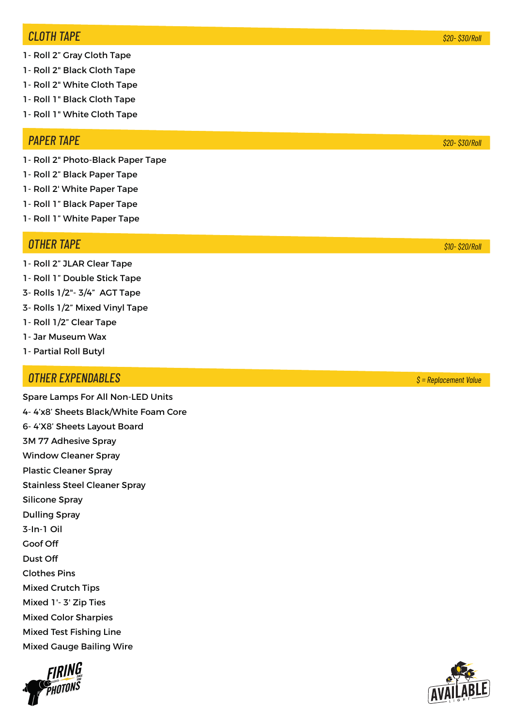#### **CLOTH TAPE** *CLOTH TAPE \$20- \$30/Roll*

- 1- Roll 2" Gray Cloth Tape
- 1- Roll 2" Black Cloth Tape
- 1- Roll 2" White Cloth Tape
- 1- Roll 1" Black Cloth Tape
- 1- Roll 1" White Cloth Tape

#### **PAPER TAPE** *PAPER TAPE \$20- \$30/Roll*

- 1- Roll 2" Photo-Black Paper Tape
- 1- Roll 2" Black Paper Tape
- 1- Roll 2' White Paper Tape
- 1- Roll 1" Black Paper Tape
- 1- Roll 1" White Paper Tape

#### **OTHER TAPE** *OTHER TAPE \$10- \$20/Roll*

- 1- Roll 2" JLAR Clear Tape
- 1- Roll 1" Double Stick Tape
- 3- Rolls 1/2"- 3/4" AGT Tape
- 3- Rolls 1/2" Mixed Vinyl Tape
- 1- Roll 1/2" Clear Tape
- 1- Jar Museum Wax
- 1- Partial Roll Butyl

### *STANDS OTHER EXPENDABLES \$ = Replacement Value*

Spare Lamps For All Non-LED Units 4- 4'x8' Sheets Black/White Foam Core 6- 4'X8' Sheets Layout Board 3M 77 Adhesive Spray Window Cleaner Spray Plastic Cleaner Spray Stainless Steel Cleaner Spray Silicone Spray Dulling Spray 3-In-1 Oil Goof Off Dust Off Clothes Pins Mixed Crutch Tips Mixed 1'- 3' Zip Ties Mixed Color Sharpies Mixed Test Fishing Line Mixed Gauge Bailing Wire